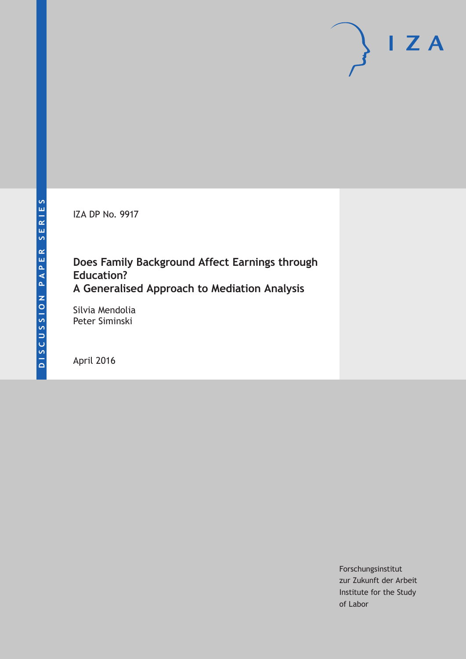IZA DP No. 9917

# **Does Family Background Affect Earnings through Education? A Generalised Approach to Mediation Analysis**

Silvia Mendolia Peter Siminski

April 2016

Forschungsinstitut zur Zukunft der Arbeit Institute for the Study of Labor

 $I Z A$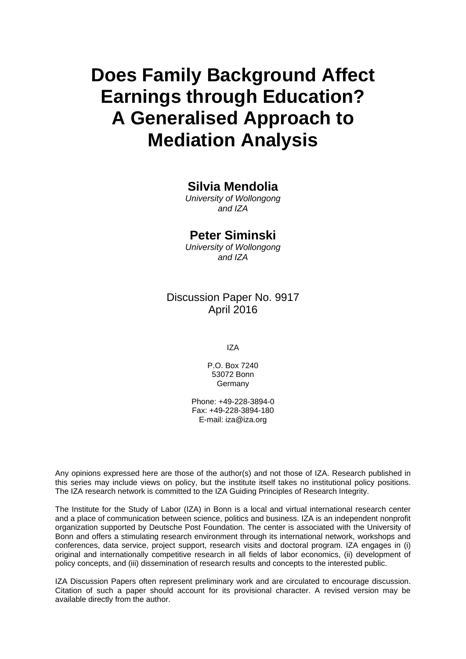# **Does Family Background Affect Earnings through Education? A Generalised Approach to Mediation Analysis**

# **Silvia Mendolia**

*University of Wollongong and IZA* 

# **Peter Siminski**

*University of Wollongong and IZA* 

# Discussion Paper No. 9917 April 2016

IZA

P.O. Box 7240 53072 Bonn **Germany** 

Phone: +49-228-3894-0 Fax: +49-228-3894-180 E-mail: iza@iza.org

Any opinions expressed here are those of the author(s) and not those of IZA. Research published in this series may include views on policy, but the institute itself takes no institutional policy positions. The IZA research network is committed to the IZA Guiding Principles of Research Integrity.

The Institute for the Study of Labor (IZA) in Bonn is a local and virtual international research center and a place of communication between science, politics and business. IZA is an independent nonprofit organization supported by Deutsche Post Foundation. The center is associated with the University of Bonn and offers a stimulating research environment through its international network, workshops and conferences, data service, project support, research visits and doctoral program. IZA engages in (i) original and internationally competitive research in all fields of labor economics, (ii) development of policy concepts, and (iii) dissemination of research results and concepts to the interested public.

IZA Discussion Papers often represent preliminary work and are circulated to encourage discussion. Citation of such a paper should account for its provisional character. A revised version may be available directly from the author.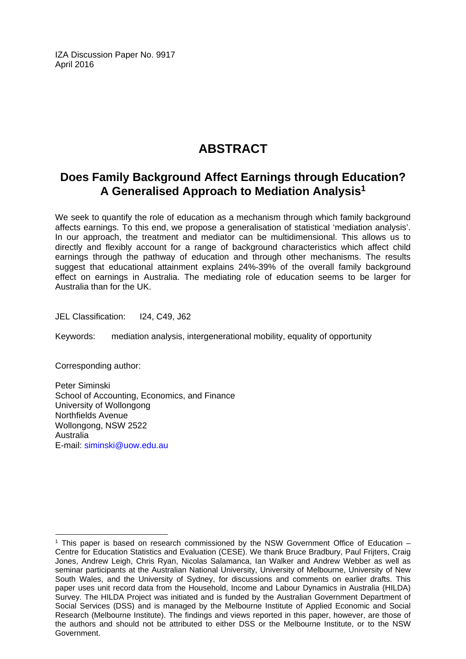IZA Discussion Paper No. 9917 April 2016

# **ABSTRACT**

# **Does Family Background Affect Earnings through Education? A Generalised Approach to Mediation Analysis<sup>1</sup>**

We seek to quantify the role of education as a mechanism through which family background affects earnings. To this end, we propose a generalisation of statistical 'mediation analysis'. In our approach, the treatment and mediator can be multidimensional. This allows us to directly and flexibly account for a range of background characteristics which affect child earnings through the pathway of education and through other mechanisms. The results suggest that educational attainment explains 24%-39% of the overall family background effect on earnings in Australia. The mediating role of education seems to be larger for Australia than for the UK.

JEL Classification: I24, C49, J62

Keywords: mediation analysis, intergenerational mobility, equality of opportunity

Corresponding author:

 $\overline{\phantom{a}}$ 

Peter Siminski School of Accounting, Economics, and Finance University of Wollongong Northfields Avenue Wollongong, NSW 2522 Australia E-mail: siminski@uow.edu.au

 $1$  This paper is based on research commissioned by the NSW Government Office of Education  $-$ Centre for Education Statistics and Evaluation (CESE). We thank Bruce Bradbury, Paul Frijters, Craig Jones, Andrew Leigh, Chris Ryan, Nicolas Salamanca, Ian Walker and Andrew Webber as well as seminar participants at the Australian National University, University of Melbourne, University of New South Wales, and the University of Sydney, for discussions and comments on earlier drafts. This paper uses unit record data from the Household, Income and Labour Dynamics in Australia (HILDA) Survey. The HILDA Project was initiated and is funded by the Australian Government Department of Social Services (DSS) and is managed by the Melbourne Institute of Applied Economic and Social Research (Melbourne Institute). The findings and views reported in this paper, however, are those of the authors and should not be attributed to either DSS or the Melbourne Institute, or to the NSW Government.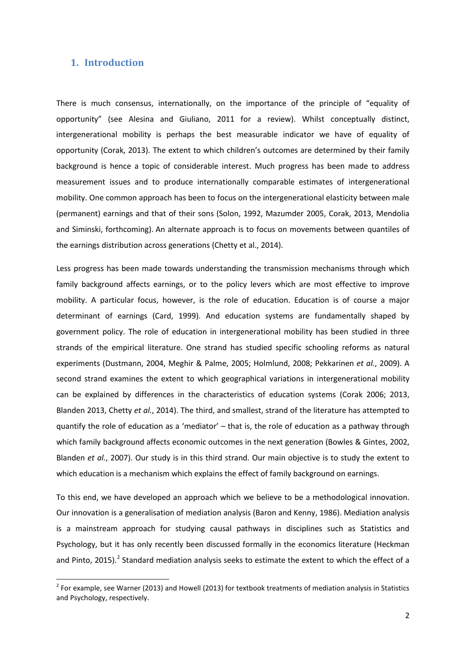## **1. Introduction**

There is much consensus, internationally, on the importance of the principle of "equality of opportunity" (see Alesina and Giuliano, 2011 for a review). Whilst conceptually distinct, intergenerational mobility is perhaps the best measurable indicator we have of equality of opportunity (Corak, 2013). The extent to which children's outcomes are determined by their family background is hence a topic of considerable interest. Much progress has been made to address measurement issues and to produce internationally comparable estimates of intergenerational mobility. One common approach has been to focus on the intergenerational elasticity between male (permanent) earnings and that of their sons (Solon, 1992, Mazumder 2005, Corak, 2013, Mendolia and Siminski, forthcoming). An alternate approach is to focus on movements between quantiles of the earnings distribution across generations (Chetty et al., 2014).

Less progress has been made towards understanding the transmission mechanisms through which family background affects earnings, or to the policy levers which are most effective to improve mobility. A particular focus, however, is the role of education. Education is of course a major determinant of earnings (Card, 1999). And education systems are fundamentally shaped by government policy. The role of education in intergenerational mobility has been studied in three strands of the empirical literature. One strand has studied specific schooling reforms as natural experiments (Dustmann, 2004, Meghir & Palme, 2005; Holmlund, 2008; Pekkarinen *et al.*, 2009). A second strand examines the extent to which geographical variations in intergenerational mobility can be explained by differences in the characteristics of education systems (Corak 2006; 2013, Blanden 2013, Chetty *et al.*, 2014). The third, and smallest, strand of the literature has attempted to quantify the role of education as a 'mediator' – that is, the role of education as a pathway through which family background affects economic outcomes in the next generation (Bowles & Gintes, 2002, Blanden *et al.*, 2007). Our study is in this third strand. Our main objective is to study the extent to which education is a mechanism which explains the effect of family background on earnings.

To this end, we have developed an approach which we believe to be a methodological innovation. Our innovation is a generalisation of mediation analysis (Baron and Kenny, 1986). Mediation analysis is a mainstream approach for studying causal pathways in disciplines such as Statistics and Psychology, but it has only recently been discussed formally in the economics literature (Heckman and Pinto, 2015).<sup>2</sup> Standard mediation analysis seeks to estimate the extent to which the effect of a

<span id="page-3-0"></span> $2$  For example, see Warner (2013) and Howell (2013) for textbook treatments of mediation analysis in Statistics and Psychology, respectively.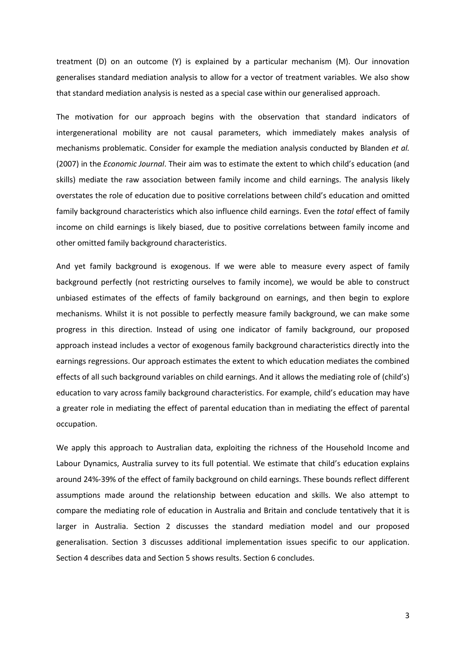treatment (D) on an outcome (Y) is explained by a particular mechanism (M). Our innovation generalises standard mediation analysis to allow for a vector of treatment variables. We also show that standard mediation analysis is nested as a special case within our generalised approach.

The motivation for our approach begins with the observation that standard indicators of intergenerational mobility are not causal parameters, which immediately makes analysis of mechanisms problematic. Consider for example the mediation analysis conducted by Blanden *et al.* (2007) in the *Economic Journal*. Their aim was to estimate the extent to which child's education (and skills) mediate the raw association between family income and child earnings. The analysis likely overstates the role of education due to positive correlations between child's education and omitted family background characteristics which also influence child earnings. Even the *total* effect of family income on child earnings is likely biased, due to positive correlations between family income and other omitted family background characteristics.

And yet family background is exogenous. If we were able to measure every aspect of family background perfectly (not restricting ourselves to family income), we would be able to construct unbiased estimates of the effects of family background on earnings, and then begin to explore mechanisms. Whilst it is not possible to perfectly measure family background, we can make some progress in this direction. Instead of using one indicator of family background, our proposed approach instead includes a vector of exogenous family background characteristics directly into the earnings regressions. Our approach estimates the extent to which education mediates the combined effects of all such background variables on child earnings. And it allows the mediating role of (child's) education to vary across family background characteristics. For example, child's education may have a greater role in mediating the effect of parental education than in mediating the effect of parental occupation.

We apply this approach to Australian data, exploiting the richness of the Household Income and Labour Dynamics, Australia survey to its full potential. We estimate that child's education explains around 24%-39% of the effect of family background on child earnings. These bounds reflect different assumptions made around the relationship between education and skills. We also attempt to compare the mediating role of education in Australia and Britain and conclude tentatively that it is larger in Australia. Section 2 discusses the standard mediation model and our proposed generalisation. Section 3 discusses additional implementation issues specific to our application. Section 4 describes data and Section 5 shows results. Section 6 concludes.

3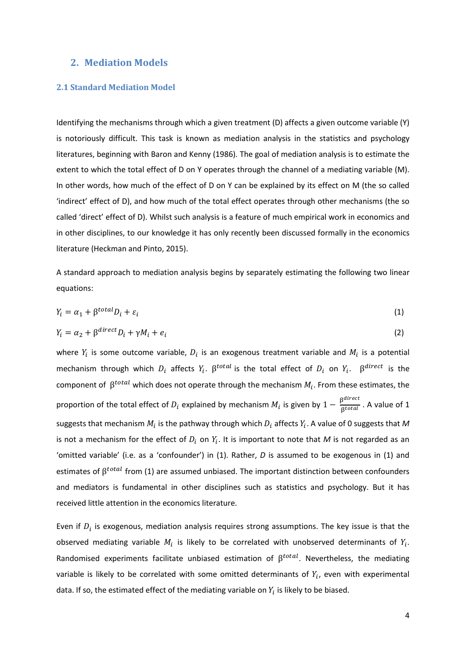### **2. Mediation Models**

#### **2.1 Standard Mediation Model**

Identifying the mechanisms through which a given treatment (D) affects a given outcome variable (Y) is notoriously difficult. This task is known as mediation analysis in the statistics and psychology literatures, beginning with Baron and Kenny (1986). The goal of mediation analysis is to estimate the extent to which the total effect of D on Y operates through the channel of a mediating variable (M). In other words, how much of the effect of D on Y can be explained by its effect on M (the so called 'indirect' effect of D), and how much of the total effect operates through other mechanisms (the so called 'direct' effect of D). Whilst such analysis is a feature of much empirical work in economics and in other disciplines, to our knowledge it has only recently been discussed formally in the economics literature (Heckman and Pinto, 2015).

A standard approach to mediation analysis begins by separately estimating the following two linear equations:

$$
Y_i = \alpha_1 + \beta^{total} D_i + \varepsilon_i \tag{1}
$$

$$
Y_i = \alpha_2 + \beta^{direct} D_i + \gamma M_i + e_i \tag{2}
$$

where  $Y_i$  is some outcome variable,  $D_i$  is an exogenous treatment variable and  $M_i$  is a potential mechanism through which  $D_i$  affects  $Y_i$ .  $\beta^{total}$  is the total effect of  $D_i$  on  $Y_i$ .  $\beta^{direct}$  is the component of  $\beta^{total}$  which does not operate through the mechanism  $M_i$ . From these estimates, the proportion of the total effect of  $D_i$  explained by mechanism  $M_i$  is given by  $1 - \frac{\beta^{direct}}{\beta^{total}}$ . A value of 1 suggests that mechanism  $M_i$  is the pathway through which  $D_i$  affects  $Y_i$ . A value of 0 suggests that M is not a mechanism for the effect of  $D_i$  on  $Y_i$ . It is important to note that M is not regarded as an 'omitted variable' (i.e. as a 'confounder') in (1). Rather, *D* is assumed to be exogenous in (1) and estimates of  $\beta^{total}$  from (1) are assumed unbiased. The important distinction between confounders and mediators is fundamental in other disciplines such as statistics and psychology. But it has received little attention in the economics literature.

Even if  $D_i$  is exogenous, mediation analysis requires strong assumptions. The key issue is that the observed mediating variable  $M_i$  is likely to be correlated with unobserved determinants of  $Y_i$ . Randomised experiments facilitate unbiased estimation of  $\beta^{total}$ . Nevertheless, the mediating variable is likely to be correlated with some omitted determinants of  $Y_i$ , even with experimental data. If so, the estimated effect of the mediating variable on  $Y_i$  is likely to be biased.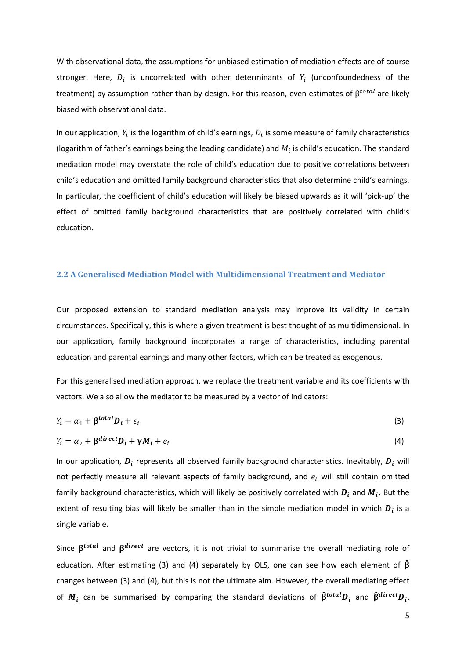With observational data, the assumptions for unbiased estimation of mediation effects are of course stronger. Here,  $D_i$  is uncorrelated with other determinants of  $Y_i$  (unconfoundedness of the treatment) by assumption rather than by design. For this reason, even estimates of  $\beta^{total}$  are likely biased with observational data.

In our application,  $Y_i$  is the logarithm of child's earnings,  $D_i$  is some measure of family characteristics (logarithm of father's earnings being the leading candidate) and  $M_i$  is child's education. The standard mediation model may overstate the role of child's education due to positive correlations between child's education and omitted family background characteristics that also determine child's earnings. In particular, the coefficient of child's education will likely be biased upwards as it will 'pick-up' the effect of omitted family background characteristics that are positively correlated with child's education.

#### **2.2 A Generalised Mediation Model with Multidimensional Treatment and Mediator**

Our proposed extension to standard mediation analysis may improve its validity in certain circumstances. Specifically, this is where a given treatment is best thought of as multidimensional. In our application, family background incorporates a range of characteristics, including parental education and parental earnings and many other factors, which can be treated as exogenous.

For this generalised mediation approach, we replace the treatment variable and its coefficients with vectors. We also allow the mediator to be measured by a vector of indicators:

$$
Y_i = \alpha_1 + \beta^{total} D_i + \varepsilon_i \tag{3}
$$

$$
Y_i = \alpha_2 + \beta^{direct} D_i + \gamma M_i + e_i \tag{4}
$$

In our application,  $D_i$  represents all observed family background characteristics. Inevitably,  $D_i$  will not perfectly measure all relevant aspects of family background, and  $e_i$  will still contain omitted family background characteristics, which will likely be positively correlated with  $D_i$  and  $M_i$ . But the extent of resulting bias will likely be smaller than in the simple mediation model in which  $D_i$  is a single variable.

Since  $\beta^{total}$  and  $\beta^{direct}$  are vectors, it is not trivial to summarise the overall mediating role of education. After estimating (3) and (4) separately by OLS, one can see how each element of  $\widehat{\beta}$ changes between (3) and (4), but this is not the ultimate aim. However, the overall mediating effect of  $M_i$  can be summarised by comparing the standard deviations of  $\widehat{\beta}^{total}D_i$  and  $\widehat{\beta}^{direct}D_i$ ,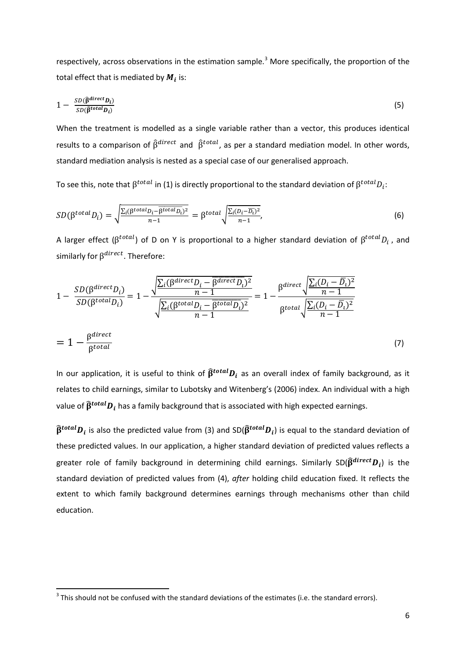respectively, across observations in the estimation sample.<sup>[3](#page-3-0)</sup> More specifically, the proportion of the total effect that is mediated by  $M_i$  is:

$$
1 - \frac{SD(\hat{\beta}^{direct}D_i)}{SD(\hat{\beta}^{total}D_i)}
$$
(5)

When the treatment is modelled as a single variable rather than a vector, this produces identical results to a comparison of  $\hat{\beta}^{direct}$  and  $\hat{\beta}^{total}$ , as per a standard mediation model. In other words, standard mediation analysis is nested as a special case of our generalised approach.

To see this, note that  $\beta^{total}$  in (1) is directly proportional to the standard deviation of  $\beta^{total}D_i$ :

$$
SD(\beta^{total}D_i) = \sqrt{\frac{\Sigma_i(\beta^{total}D_i - \overline{\beta^{total}D_i})^2}{n-1}} = \beta^{total} \sqrt{\frac{\Sigma_i(D_i - \overline{D_i})^2}{n-1}},
$$
\n(6)

A larger effect ( $\beta^{total}$ ) of D on Y is proportional to a higher standard deviation of  $\beta^{total}D_i$ , and similarly for  $\beta^{direct}$ . Therefore:

$$
1 - \frac{SD(\beta^{direct}D_i)}{SD(\beta^{total}D_i)} = 1 - \frac{\sqrt{\frac{\sum_i (\beta^{direct}D_i - \overline{\beta^{direct}D_i})^2}{n-1}}{n-1}}{\sqrt{\frac{\sum_i (\beta^{total}D_i - \overline{\beta^{total}D_i})^2}{n-1}}} = 1 - \frac{\beta^{direct} \sqrt{\frac{\sum_i (D_i - \overline{D_i})^2}{n-1}}}{\beta^{total} \sqrt{\frac{\sum_i (D_i - \overline{D_i})^2}{n-1}}}
$$
\n
$$
= 1 - \frac{\beta^{direct}}{\beta^{total}}
$$
\n(7)

In our application, it is useful to think of  $\hat{\beta}^{total}D_i$  as an overall index of family background, as it relates to child earnings, similar to Lubotsky and Witenberg's (2006) index. An individual with a high value of  $\widehat{\beta}^{total}D_i$  has a family background that is associated with high expected earnings.

 $\widehat{\beta}^{total}D_i$  is also the predicted value from (3) and SD( $\widehat{\beta}^{total}D_i$ ) is equal to the standard deviation of these predicted values. In our application, a higher standard deviation of predicted values reflects a greater role of family background in determining child earnings. Similarly SD( $\widehat{\beta}^{direct}D_i$ ) is the standard deviation of predicted values from (4), *after* holding child education fixed. It reflects the extent to which family background determines earnings through mechanisms other than child education.

<span id="page-7-0"></span> $3$  This should not be confused with the standard deviations of the estimates (i.e. the standard errors).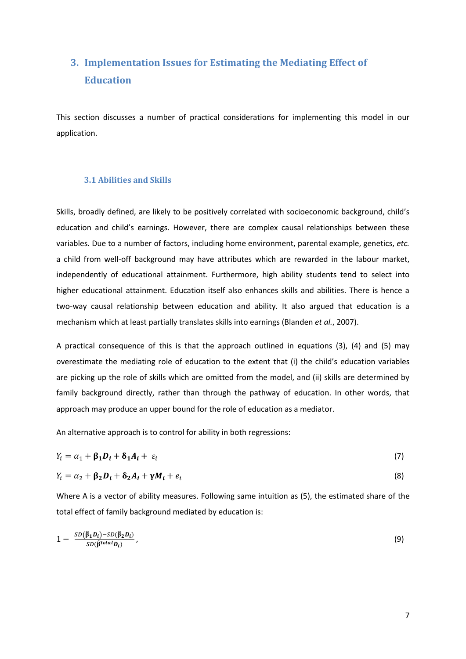# **3. Implementation Issues for Estimating the Mediating Effect of Education**

This section discusses a number of practical considerations for implementing this model in our application.

#### **3.1 Abilities and Skills**

Skills, broadly defined, are likely to be positively correlated with socioeconomic background, child's education and child's earnings. However, there are complex causal relationships between these variables. Due to a number of factors, including home environment, parental example, genetics, *etc.* a child from well-off background may have attributes which are rewarded in the labour market, independently of educational attainment. Furthermore, high ability students tend to select into higher educational attainment. Education itself also enhances skills and abilities. There is hence a two-way causal relationship between education and ability. It also argued that education is a mechanism which at least partially translates skills into earnings (Blanden *et al.*, 2007).

A practical consequence of this is that the approach outlined in equations (3), (4) and (5) may overestimate the mediating role of education to the extent that (i) the child's education variables are picking up the role of skills which are omitted from the model, and (ii) skills are determined by family background directly, rather than through the pathway of education. In other words, that approach may produce an upper bound for the role of education as a mediator.

An alternative approach is to control for ability in both regressions:

$$
Y_i = \alpha_1 + \beta_1 D_i + \delta_1 A_i + \varepsilon_i \tag{7}
$$

$$
Y_i = \alpha_2 + \beta_2 D_i + \delta_2 A_i + \gamma M_i + e_i \tag{8}
$$

Where A is a vector of ability measures. Following same intuition as (5), the estimated share of the total effect of family background mediated by education is:

$$
1 - \frac{SD(\widehat{\beta}_1 D_i) - SD(\widehat{\beta}_2 D_i)}{SD(\widehat{\beta}^{total} D_i)},
$$
\n(9)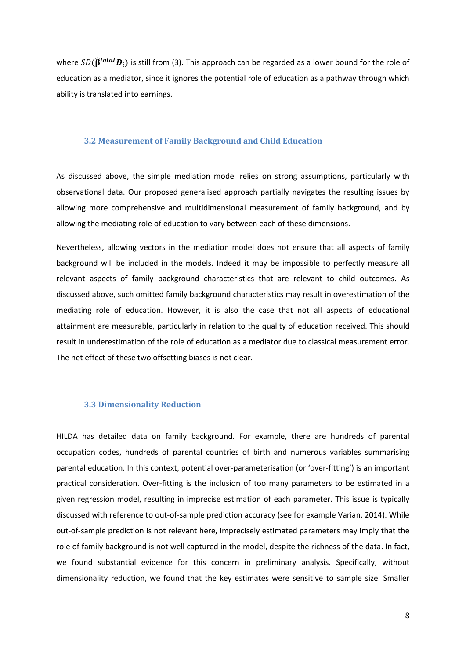where  $SD(\hat{\beta}^{total}D_i)$  is still from (3). This approach can be regarded as a lower bound for the role of education as a mediator, since it ignores the potential role of education as a pathway through which ability is translated into earnings.

#### **3.2 Measurement of Family Background and Child Education**

As discussed above, the simple mediation model relies on strong assumptions, particularly with observational data. Our proposed generalised approach partially navigates the resulting issues by allowing more comprehensive and multidimensional measurement of family background, and by allowing the mediating role of education to vary between each of these dimensions.

Nevertheless, allowing vectors in the mediation model does not ensure that all aspects of family background will be included in the models. Indeed it may be impossible to perfectly measure all relevant aspects of family background characteristics that are relevant to child outcomes. As discussed above, such omitted family background characteristics may result in overestimation of the mediating role of education. However, it is also the case that not all aspects of educational attainment are measurable, particularly in relation to the quality of education received. This should result in underestimation of the role of education as a mediator due to classical measurement error. The net effect of these two offsetting biases is not clear.

#### **3.3 Dimensionality Reduction**

HILDA has detailed data on family background. For example, there are hundreds of parental occupation codes, hundreds of parental countries of birth and numerous variables summarising parental education. In this context, potential over-parameterisation (or 'over-fitting') is an important practical consideration. Over-fitting is the inclusion of too many parameters to be estimated in a given regression model, resulting in imprecise estimation of each parameter. This issue is typically discussed with reference to out-of-sample prediction accuracy (see for example Varian, 2014). While out-of-sample prediction is not relevant here, imprecisely estimated parameters may imply that the role of family background is not well captured in the model, despite the richness of the data. In fact, we found substantial evidence for this concern in preliminary analysis. Specifically, without dimensionality reduction, we found that the key estimates were sensitive to sample size. Smaller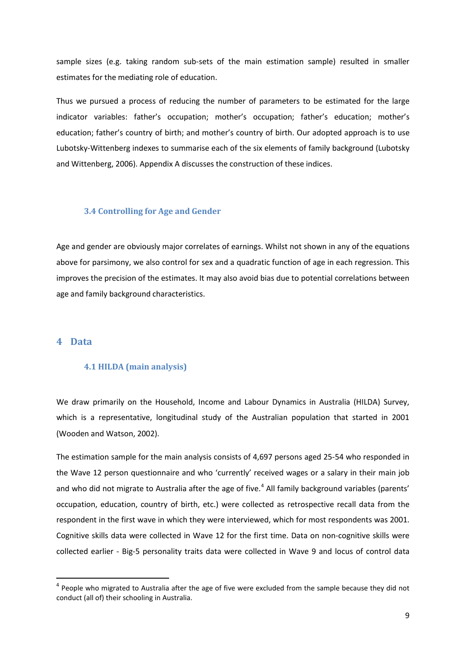sample sizes (e.g. taking random sub-sets of the main estimation sample) resulted in smaller estimates for the mediating role of education.

Thus we pursued a process of reducing the number of parameters to be estimated for the large indicator variables: father's occupation; mother's occupation; father's education; mother's education; father's country of birth; and mother's country of birth. Our adopted approach is to use Lubotsky-Wittenberg indexes to summarise each of the six elements of family background (Lubotsky and Wittenberg, 2006). Appendix A discusses the construction of these indices.

#### <span id="page-10-3"></span>**3.4 Controlling for Age and Gender**

Age and gender are obviously major correlates of earnings. Whilst not shown in any of the equations above for parsimony, we also control for sex and a quadratic function of age in each regression. This improves the precision of the estimates. It may also avoid bias due to potential correlations between age and family background characteristics.

# <span id="page-10-2"></span><span id="page-10-1"></span>**4 Data**

#### **4.1 HILDA (main analysis)**

We draw primarily on the Household, Income and Labour Dynamics in Australia (HILDA) Survey, which is a representative, longitudinal study of the Australian population that started in 2001 (Wooden and Watson, 2002).

The estimation sample for the main analysis consists of 4,697 persons aged 25-54 who responded in the Wave 12 person questionnaire and who 'currently' received wages or a salary in their main job and who did not migrate to Australia after the age of five.<sup>[4](#page-7-0)</sup> All family background variables (parents' occupation, education, country of birth, etc.) were collected as retrospective recall data from the respondent in the first wave in which they were interviewed, which for most respondents was 2001. Cognitive skills data were collected in Wave 12 for the first time. Data on non-cognitive skills were collected earlier - Big-5 personality traits data were collected in Wave 9 and locus of control data

<span id="page-10-0"></span> $4$  People who migrated to Australia after the age of five were excluded from the sample because they did not conduct (all of) their schooling in Australia.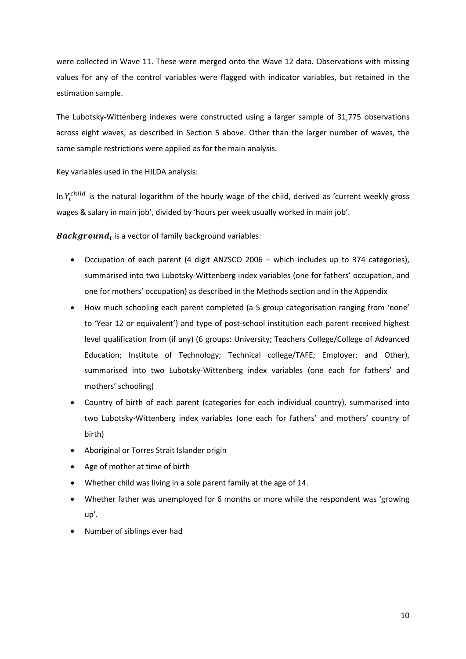were collected in Wave 11. These were merged onto the Wave 12 data. Observations with missing values for any of the control variables were flagged with indicator variables, but retained in the estimation sample.

The Lubotsky-Wittenberg indexes were constructed using a larger sample of 31,775 observations across eight waves, as described in Section 5 above. Other than the larger number of waves, the same sample restrictions were applied as for the main analysis.

#### Key variables used in the HILDA analysis:

In  $Y_i^{child}$  is the natural logarithm of the hourly wage of the child, derived as 'current weekly gross wages & salary in main job', divided by 'hours per week usually worked in main job'.

**Background**, is a vector of family background variables:

- Occupation of each parent (4 digit ANZSCO 2006 which includes up to 374 categories), summarised into two Lubotsky-Wittenberg index variables (one for fathers' occupation, and one for mothers' occupation) as described in the Methods section and in the Appendix
- How much schooling each parent completed (a 5 group categorisation ranging from 'none' to 'Year 12 or equivalent') and type of post-school institution each parent received highest level qualification from (if any) (6 groups: University; Teachers College/College of Advanced Education; Institute of Technology; Technical college/TAFE; Employer; and Other), summarised into two Lubotsky-Wittenberg index variables (one each for fathers' and mothers' schooling)
- Country of birth of each parent (categories for each individual country), summarised into two Lubotsky-Wittenberg index variables (one each for fathers' and mothers' country of birth)
- Aboriginal or Torres Strait Islander origin
- Age of mother at time of birth
- Whether child was living in a sole parent family at the age of 14.
- Whether father was unemployed for 6 months or more while the respondent was 'growing up'.
- Number of siblings ever had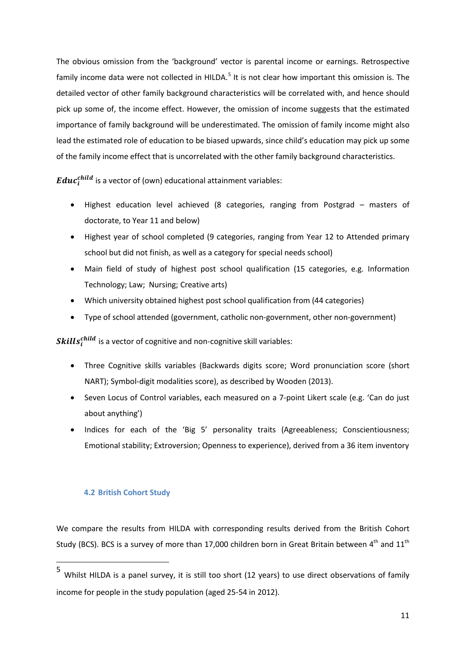The obvious omission from the 'background' vector is parental income or earnings. Retrospective family income data were not collected in HILDA.<sup>[5](#page-10-0)</sup> It is not clear how important this omission is. The detailed vector of other family background characteristics will be correlated with, and hence should pick up some of, the income effect. However, the omission of income suggests that the estimated importance of family background will be underestimated. The omission of family income might also lead the estimated role of education to be biased upwards, since child's education may pick up some of the family income effect that is uncorrelated with the other family background characteristics.

 $\pmb{E} \pmb{d} \pmb{u} \pmb{c}^{child}_{i}$  is a vector of (own) educational attainment variables:

- Highest education level achieved (8 categories, ranging from Postgrad masters of doctorate, to Year 11 and below)
- Highest year of school completed (9 categories, ranging from Year 12 to Attended primary school but did not finish, as well as a category for special needs school)
- Main field of study of highest post school qualification (15 categories, e.g. Information Technology; Law; Nursing; Creative arts)
- Which university obtained highest post school qualification from (44 categories)
- Type of school attended (government, catholic non-government, other non-government)

 $\textit{Skills}_{i}^{\textit{child}}$  is a vector of cognitive and non-cognitive skill variables:

- Three Cognitive skills variables (Backwards digits score; Word pronunciation score (short NART); Symbol-digit modalities score), as described by Wooden (2013).
- Seven Locus of Control variables, each measured on a 7-point Likert scale (e.g. 'Can do just about anything')
- Indices for each of the 'Big 5' personality traits (Agreeableness; Conscientiousness; Emotional stability; Extroversion; Openness to experience), derived from a 36 item inventory

### <span id="page-12-1"></span>**4.2 British Cohort Study**

We compare the results from HILDA with corresponding results derived from the British Cohort Study (BCS). BCS is a survey of more than 17,000 children born in Great Britain between  $4^{\text{th}}$  and  $11^{\text{th}}$ 

<span id="page-12-0"></span> <sup>5</sup> Whilst HILDA is a panel survey, it is still too short (12 years) to use direct observations of family income for people in the study population (aged 25-54 in 2012).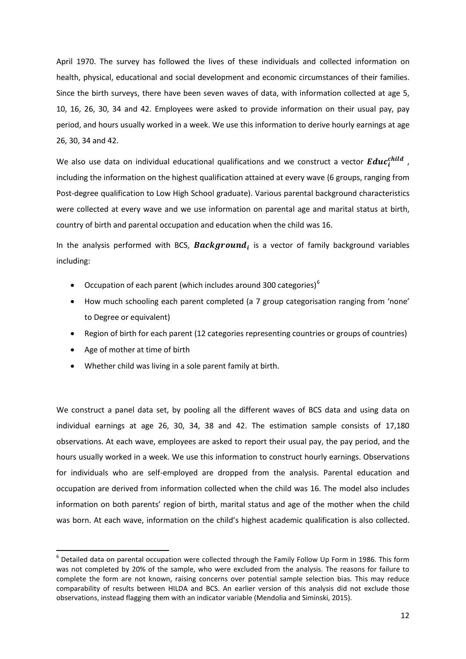April 1970. The survey has followed the lives of these individuals and collected information on health, physical, educational and social development and economic circumstances of their families. Since the birth surveys, there have been seven waves of data, with information collected at age 5, 10, 16, 26, 30, 34 and 42. Employees were asked to provide information on their usual pay, pay period, and hours usually worked in a week. We use this information to derive hourly earnings at age 26, 30, 34 and 42.

We also use data on individual educational qualifications and we construct a vector  $\pmb{Educ}^{child}_i$  , including the information on the highest qualification attained at every wave (6 groups, ranging from Post-degree qualification to Low High School graduate). Various parental background characteristics were collected at every wave and we use information on parental age and marital status at birth, country of birth and parental occupation and education when the child was 16.

In the analysis performed with BCS, **Background**, is a vector of family background variables including:

- Occupation of each parent (which includes around 300 categories) $<sup>6</sup>$  $<sup>6</sup>$  $<sup>6</sup>$ </sup>
- How much schooling each parent completed (a 7 group categorisation ranging from 'none' to Degree or equivalent)
- Region of birth for each parent (12 categories representing countries or groups of countries)
- Age of mother at time of birth
- Whether child was living in a sole parent family at birth.

We construct a panel data set, by pooling all the different waves of BCS data and using data on individual earnings at age 26, 30, 34, 38 and 42. The estimation sample consists of 17,180 observations. At each wave, employees are asked to report their usual pay, the pay period, and the hours usually worked in a week. We use this information to construct hourly earnings. Observations for individuals who are self-employed are dropped from the analysis. Parental education and occupation are derived from information collected when the child was 16. The model also includes information on both parents' region of birth, marital status and age of the mother when the child was born. At each wave, information on the child's highest academic qualification is also collected.

<span id="page-13-0"></span> $6$  Detailed data on parental occupation were collected through the Family Follow Up Form in 1986. This form was not completed by 20% of the sample, who were excluded from the analysis. The reasons for failure to complete the form are not known, raising concerns over potential sample selection bias. This may reduce comparability of results between HILDA and BCS. An earlier version of this analysis did not exclude those observations, instead flagging them with an indicator variable (Mendolia and Siminski, 2015).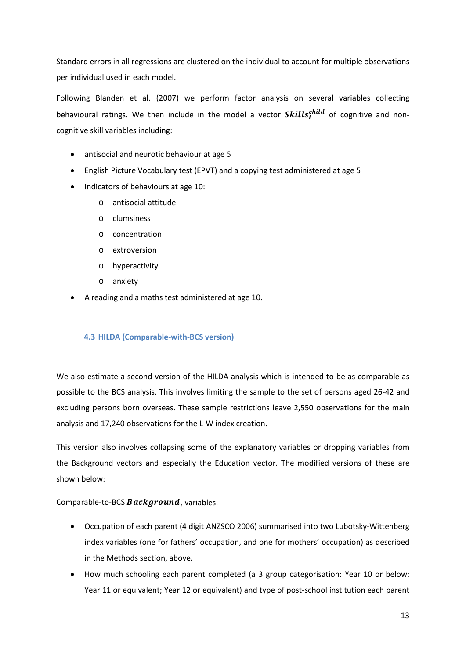Standard errors in all regressions are clustered on the individual to account for multiple observations per individual used in each model.

Following Blanden et al. (2007) we perform factor analysis on several variables collecting behavioural ratings. We then include in the model a vector  $\mathcal{S}{\mathbf{k}}$ ills $_i^{\mathcal{C}{\mathbf{h}}{\mathbf{u}}{\mathbf{d}}}$  of cognitive and noncognitive skill variables including:

- antisocial and neurotic behaviour at age 5
- English Picture Vocabulary test (EPVT) and a copying test administered at age 5
- Indicators of behaviours at age 10:
	- o antisocial attitude
	- o clumsiness
	- o concentration
	- o extroversion
	- o hyperactivity
	- o anxiety
- A reading and a maths test administered at age 10.

#### <span id="page-14-0"></span>**4.3 HILDA (Comparable-with-BCS version)**

We also estimate a second version of the HILDA analysis which is intended to be as comparable as possible to the BCS analysis. This involves limiting the sample to the set of persons aged 26-42 and excluding persons born overseas. These sample restrictions leave 2,550 observations for the main analysis and 17,240 observations for the L-W index creation.

This version also involves collapsing some of the explanatory variables or dropping variables from the Background vectors and especially the Education vector. The modified versions of these are shown below:

#### Comparable-to-BCS  $\emph{Background}_i$  variables:

- Occupation of each parent (4 digit ANZSCO 2006) summarised into two Lubotsky-Wittenberg index variables (one for fathers' occupation, and one for mothers' occupation) as described in the Methods section, above.
- How much schooling each parent completed (a 3 group categorisation: Year 10 or below; Year 11 or equivalent; Year 12 or equivalent) and type of post-school institution each parent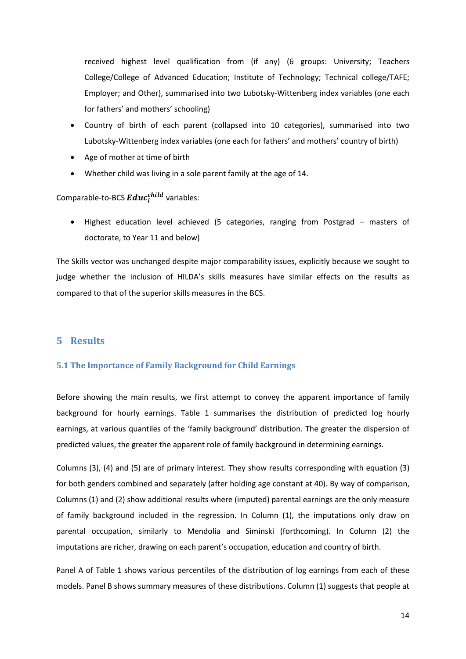received highest level qualification from (if any) (6 groups: University; Teachers College/College of Advanced Education; Institute of Technology; Technical college/TAFE; Employer; and Other), summarised into two Lubotsky-Wittenberg index variables (one each for fathers' and mothers' schooling)

- Country of birth of each parent (collapsed into 10 categories), summarised into two Lubotsky-Wittenberg index variables (one each for fathers' and mothers' country of birth)
- Age of mother at time of birth
- Whether child was living in a sole parent family at the age of 14.

# Comparable-to-BCS  $Edu c_i^{child}$  variables:

• Highest education level achieved (5 categories, ranging from Postgrad – masters of doctorate, to Year 11 and below)

The Skills vector was unchanged despite major comparability issues, explicitly because we sought to judge whether the inclusion of HILDA's skills measures have similar effects on the results as compared to that of the superior skills measures in the BCS.

### **5 Results**

#### **5.1 The Importance of Family Background for Child Earnings**

Before showing the main results, we first attempt to convey the apparent importance of family background for hourly earnings. Table 1 summarises the distribution of predicted log hourly earnings, at various quantiles of the 'family background' distribution. The greater the dispersion of predicted values, the greater the apparent role of family background in determining earnings.

Columns (3), (4) and (5) are of primary interest. They show results corresponding with equation (3) for both genders combined and separately (after holding age constant at 40). By way of comparison, Columns (1) and (2) show additional results where (imputed) parental earnings are the only measure of family background included in the regression. In Column (1), the imputations only draw on parental occupation, similarly to Mendolia and Siminski (forthcoming). In Column (2) the imputations are richer, drawing on each parent's occupation, education and country of birth.

Panel A of Table 1 shows various percentiles of the distribution of log earnings from each of these models. Panel B shows summary measures of these distributions. Column (1) suggests that people at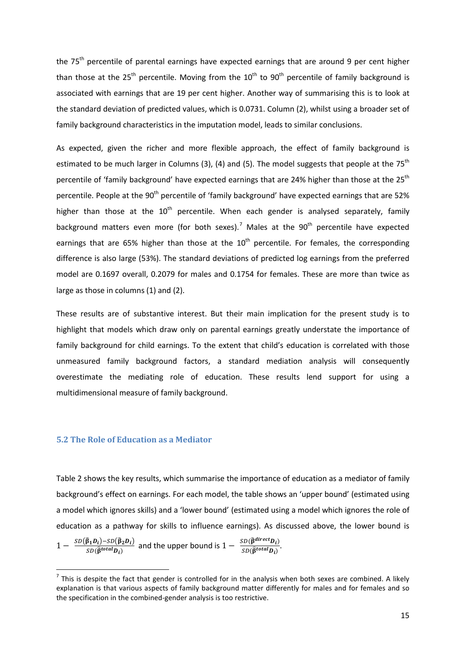the 75<sup>th</sup> percentile of parental earnings have expected earnings that are around 9 per cent higher than those at the  $25<sup>th</sup>$  percentile. Moving from the  $10<sup>th</sup>$  to  $90<sup>th</sup>$  percentile of family background is associated with earnings that are 19 per cent higher. Another way of summarising this is to look at the standard deviation of predicted values, which is 0.0731. Column (2), whilst using a broader set of family background characteristics in the imputation model, leads to similar conclusions.

As expected, given the richer and more flexible approach, the effect of family background is estimated to be much larger in Columns (3), (4) and (5). The model suggests that people at the 75<sup>th</sup> percentile of 'family background' have expected earnings that are 24% higher than those at the 25<sup>th</sup> percentile. People at the 90<sup>th</sup> percentile of 'family background' have expected earnings that are 52% higher than those at the  $10^{th}$  percentile. When each gender is analysed separately, family background matters even more (for both sexes).<sup>[7](#page-13-0)</sup> Males at the  $90<sup>th</sup>$  percentile have expected earnings that are 65% higher than those at the  $10<sup>th</sup>$  percentile. For females, the corresponding difference is also large (53%). The standard deviations of predicted log earnings from the preferred model are 0.1697 overall, 0.2079 for males and 0.1754 for females. These are more than twice as large as those in columns (1) and (2).

These results are of substantive interest. But their main implication for the present study is to highlight that models which draw only on parental earnings greatly understate the importance of family background for child earnings. To the extent that child's education is correlated with those unmeasured family background factors, a standard mediation analysis will consequently overestimate the mediating role of education. These results lend support for using a multidimensional measure of family background.

#### **5.2 The Role of Education as a Mediator**

[Table 2](#page-25-0) shows the key results, which summarise the importance of education as a mediator of family background's effect on earnings. For each model, the table shows an 'upper bound' (estimated using a model which ignores skills) and a 'lower bound' (estimated using a model which ignores the role of education as a pathway for skills to influence earnings). As discussed above, the lower bound is

<span id="page-16-0"></span> $1 - \frac{SD(\hat{\beta}_1 D_i) - SD(\hat{\beta}_2 D_i)}{SD(\hat{\beta}^{total} D_i)}$  and the upper bound is  $1 - \frac{SD(\hat{\beta}^{direct} D_i)}{SD(\hat{\beta}^{total} D_i)}$ .

 $<sup>7</sup>$  This is despite the fact that gender is controlled for in the analysis when both sexes are combined. A likely</sup> explanation is that various aspects of family background matter differently for males and for females and so the specification in the combined-gender analysis is too restrictive.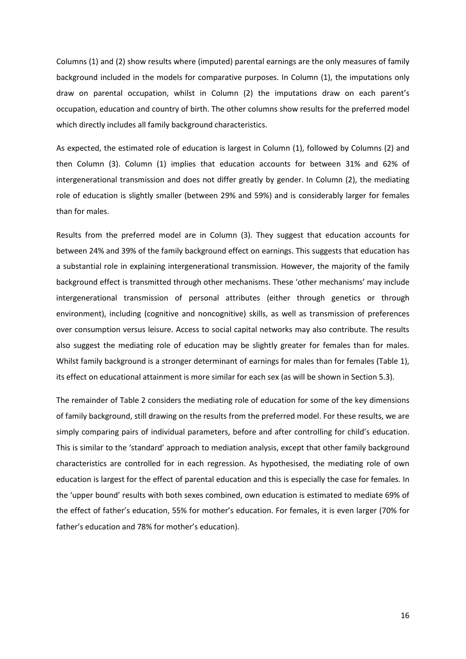Columns (1) and (2) show results where (imputed) parental earnings are the only measures of family background included in the models for comparative purposes. In Column (1), the imputations only draw on parental occupation, whilst in Column (2) the imputations draw on each parent's occupation, education and country of birth. The other columns show results for the preferred model which directly includes all family background characteristics.

As expected, the estimated role of education is largest in Column (1), followed by Columns (2) and then Column (3). Column (1) implies that education accounts for between 31% and 62% of intergenerational transmission and does not differ greatly by gender. In Column (2), the mediating role of education is slightly smaller (between 29% and 59%) and is considerably larger for females than for males.

Results from the preferred model are in Column (3). They suggest that education accounts for between 24% and 39% of the family background effect on earnings. This suggests that education has a substantial role in explaining intergenerational transmission. However, the majority of the family background effect is transmitted through other mechanisms. These 'other mechanisms' may include intergenerational transmission of personal attributes (either through genetics or through environment), including (cognitive and noncognitive) skills, as well as transmission of preferences over consumption versus leisure. Access to social capital networks may also contribute. The results also suggest the mediating role of education may be slightly greater for females than for males. Whilst family background is a stronger determinant of earnings for males than for females (Table 1), its effect on educational attainment is more similar for each sex (as will be shown in Section 5.3).

The remainder of Table 2 considers the mediating role of education for some of the key dimensions of family background, still drawing on the results from the preferred model. For these results, we are simply comparing pairs of individual parameters, before and after controlling for child's education. This is similar to the 'standard' approach to mediation analysis, except that other family background characteristics are controlled for in each regression. As hypothesised, the mediating role of own education is largest for the effect of parental education and this is especially the case for females. In the 'upper bound' results with both sexes combined, own education is estimated to mediate 69% of the effect of father's education, 55% for mother's education. For females, it is even larger (70% for father's education and 78% for mother's education).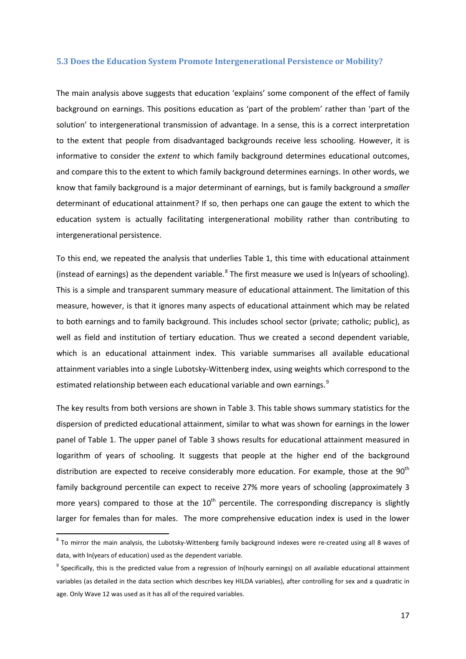#### **5.3 Does the Education System Promote Intergenerational Persistence or Mobility?**

The main analysis above suggests that education 'explains' some component of the effect of family background on earnings. This positions education as 'part of the problem' rather than 'part of the solution' to intergenerational transmission of advantage. In a sense, this is a correct interpretation to the extent that people from disadvantaged backgrounds receive less schooling. However, it is informative to consider the *extent* to which family background determines educational outcomes, and compare this to the extent to which family background determines earnings. In other words, we know that family background is a major determinant of earnings, but is family background a *smaller* determinant of educational attainment? If so, then perhaps one can gauge the extent to which the education system is actually facilitating intergenerational mobility rather than contributing to intergenerational persistence.

To this end, we repeated the analysis that underlies [Table 1,](#page-25-1) this time with educational attainment (instead of earnings) as the dependent variable.<sup>[8](#page-16-0)</sup> The first measure we used is  $ln(years$  of schooling). This is a simple and transparent summary measure of educational attainment. The limitation of this measure, however, is that it ignores many aspects of educational attainment which may be related to both earnings and to family background. This includes school sector (private; catholic; public), as well as field and institution of tertiary education. Thus we created a second dependent variable, which is an educational attainment index. This variable summarises all available educational attainment variables into a single Lubotsky-Wittenberg index, using weights which correspond to the estimated relationship between each educational variable and own earnings.<sup>[9](#page-18-0)</sup>

The key results from both versions are shown in [Table 3.](#page-28-0) This table shows summary statistics for the dispersion of predicted educational attainment, similar to what was shown for earnings in the lower panel of [Table 1.](#page-25-1) The upper panel of [Table 3](#page-28-0) shows results for educational attainment measured in logarithm of years of schooling. It suggests that people at the higher end of the background distribution are expected to receive considerably more education. For example, those at the  $90<sup>th</sup>$ family background percentile can expect to receive 27% more years of schooling (approximately 3 more years) compared to those at the  $10<sup>th</sup>$  percentile. The corresponding discrepancy is slightly larger for females than for males. The more comprehensive education index is used in the lower

 $8$  To mirror the main analysis, the Lubotsky-Wittenberg family background indexes were re-created using all 8 waves of data, with ln(years of education) used as the dependent variable.

<span id="page-18-1"></span><span id="page-18-0"></span> $9$  Specifically, this is the predicted value from a regression of ln(hourly earnings) on all available educational attainment variables (as detailed in the data section which describes key HILDA variables), after controlling for sex and a quadratic in age. Only Wave 12 was used as it has all of the required variables.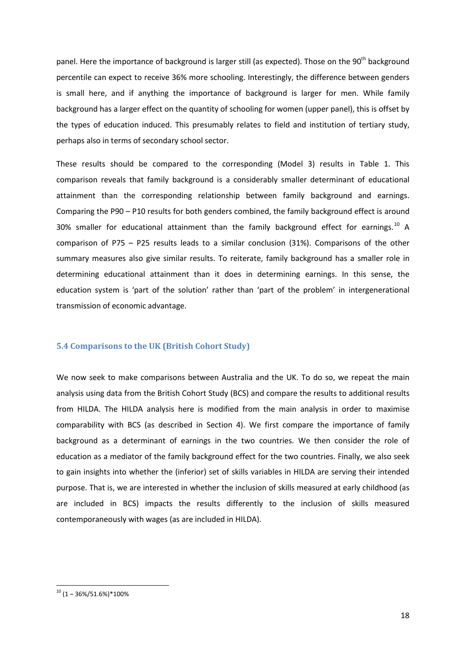panel. Here the importance of background is larger still (as expected). Those on the 90<sup>th</sup> background percentile can expect to receive 36% more schooling. Interestingly, the difference between genders is small here, and if anything the importance of background is larger for men. While family background has a larger effect on the quantity of schooling for women (upper panel), this is offset by the types of education induced. This presumably relates to field and institution of tertiary study, perhaps also in terms of secondary school sector.

These results should be compared to the corresponding (Model 3) results in [Table 1.](#page-25-1) This comparison reveals that family background is a considerably smaller determinant of educational attainment than the corresponding relationship between family background and earnings. Comparing the P90 – P10 results for both genders combined, the family background effect is around 30% smaller for educational attainment than the family background effect for earnings.<sup>[10](#page-18-1)</sup> A comparison of P75 – P25 results leads to a similar conclusion (31%). Comparisons of the other summary measures also give similar results. To reiterate, family background has a smaller role in determining educational attainment than it does in determining earnings. In this sense, the education system is 'part of the solution' rather than 'part of the problem' in intergenerational transmission of economic advantage.

#### **5.4 Comparisons to the UK (British Cohort Study)**

We now seek to make comparisons between Australia and the UK. To do so, we repeat the main analysis using data from the British Cohort Study (BCS) and compare the results to additional results from HILDA. The HILDA analysis here is modified from the main analysis in order to maximise comparability with BCS (as described in Section [4\)](#page-10-1). We first compare the importance of family background as a determinant of earnings in the two countries. We then consider the role of education as a mediator of the family background effect for the two countries. Finally, we also seek to gain insights into whether the (inferior) set of skills variables in HILDA are serving their intended purpose. That is, we are interested in whether the inclusion of skills measured at early childhood (as are included in BCS) impacts the results differently to the inclusion of skills measured contemporaneously with wages (as are included in HILDA).

<span id="page-19-0"></span> $10(1 - 36\%/51.6\%)*100\%$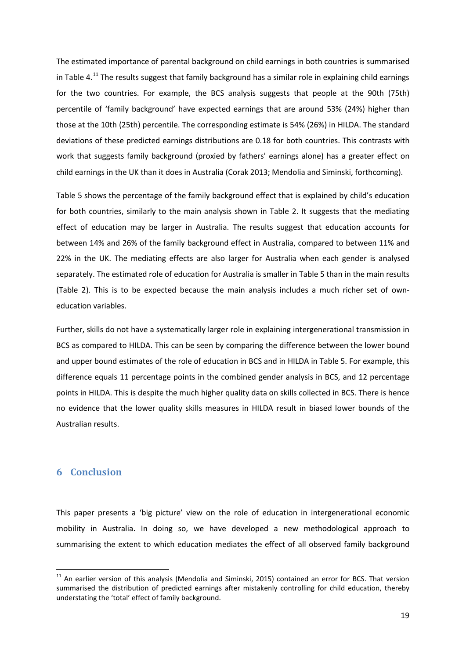The estimated importance of parental background on child earnings in both countries is summarised in [Table 4.](#page-29-0)<sup>[11](#page-19-0)</sup> The results suggest that family background has a similar role in explaining child earnings for the two countries. For example, the BCS analysis suggests that people at the 90th (75th) percentile of 'family background' have expected earnings that are around 53% (24%) higher than those at the 10th (25th) percentile. The corresponding estimate is 54% (26%) in HILDA. The standard deviations of these predicted earnings distributions are 0.18 for both countries. This contrasts with work that suggests family background (proxied by fathers' earnings alone) has a greater effect on child earnings in the UK than it does in Australia (Corak 2013; Mendolia and Siminski, forthcoming).

[Table 5](#page-30-0) shows the percentage of the family background effect that is explained by child's education for both countries, similarly to the main analysis shown in [Table 2.](#page-27-0) It suggests that the mediating effect of education may be larger in Australia. The results suggest that education accounts for between 14% and 26% of the family background effect in Australia, compared to between 11% and 22% in the UK. The mediating effects are also larger for Australia when each gender is analysed separately. The estimated role of education for Australia is smaller in [Table 5](#page-30-0) than in the main results [\(Table 2\)](#page-27-0). This is to be expected because the main analysis includes a much richer set of owneducation variables.

Further, skills do not have a systematically larger role in explaining intergenerational transmission in BCS as compared to HILDA. This can be seen by comparing the difference between the lower bound and upper bound estimates of the role of education in BCS and in HILDA in [Table 5.](#page-30-0) For example, this difference equals 11 percentage points in the combined gender analysis in BCS, and 12 percentage points in HILDA. This is despite the much higher quality data on skills collected in BCS. There is hence no evidence that the lower quality skills measures in HILDA result in biased lower bounds of the Australian results.

### **6 Conclusion**

This paper presents a 'big picture' view on the role of education in intergenerational economic mobility in Australia. In doing so, we have developed a new methodological approach to summarising the extent to which education mediates the effect of all observed family background

<sup>&</sup>lt;sup>11</sup> An earlier version of this analysis (Mendolia and Siminski, 2015) contained an error for BCS. That version summarised the distribution of predicted earnings after mistakenly controlling for child education, thereby understating the 'total' effect of family background.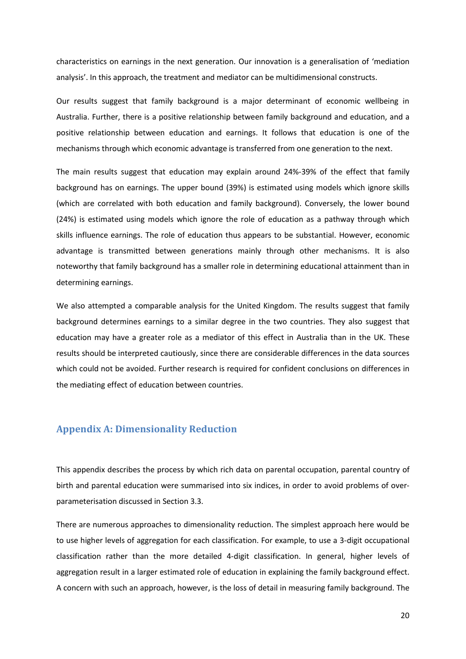characteristics on earnings in the next generation. Our innovation is a generalisation of 'mediation analysis'. In this approach, the treatment and mediator can be multidimensional constructs.

Our results suggest that family background is a major determinant of economic wellbeing in Australia. Further, there is a positive relationship between family background and education, and a positive relationship between education and earnings. It follows that education is one of the mechanisms through which economic advantage is transferred from one generation to the next.

The main results suggest that education may explain around 24%-39% of the effect that family background has on earnings. The upper bound (39%) is estimated using models which ignore skills (which are correlated with both education and family background). Conversely, the lower bound (24%) is estimated using models which ignore the role of education as a pathway through which skills influence earnings. The role of education thus appears to be substantial. However, economic advantage is transmitted between generations mainly through other mechanisms. It is also noteworthy that family background has a smaller role in determining educational attainment than in determining earnings.

We also attempted a comparable analysis for the United Kingdom. The results suggest that family background determines earnings to a similar degree in the two countries. They also suggest that education may have a greater role as a mediator of this effect in Australia than in the UK. These results should be interpreted cautiously, since there are considerable differences in the data sources which could not be avoided. Further research is required for confident conclusions on differences in the mediating effect of education between countries.

## **Appendix A: Dimensionality Reduction**

This appendix describes the process by which rich data on parental occupation, parental country of birth and parental education were summarised into six indices, in order to avoid problems of overparameterisation discussed in Section 3.3.

There are numerous approaches to dimensionality reduction. The simplest approach here would be to use higher levels of aggregation for each classification. For example, to use a 3-digit occupational classification rather than the more detailed 4-digit classification. In general, higher levels of aggregation result in a larger estimated role of education in explaining the family background effect. A concern with such an approach, however, is the loss of detail in measuring family background. The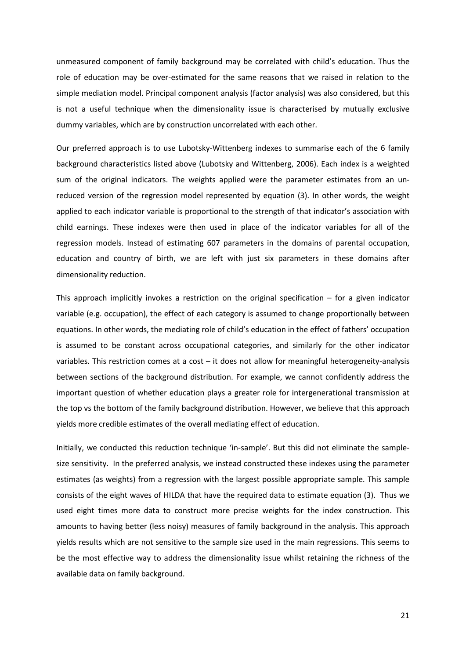unmeasured component of family background may be correlated with child's education. Thus the role of education may be over-estimated for the same reasons that we raised in relation to the simple mediation model. Principal component analysis (factor analysis) was also considered, but this is not a useful technique when the dimensionality issue is characterised by mutually exclusive dummy variables, which are by construction uncorrelated with each other.

Our preferred approach is to use Lubotsky-Wittenberg indexes to summarise each of the 6 family background characteristics listed above (Lubotsky and Wittenberg, 2006). Each index is a weighted sum of the original indicators. The weights applied were the parameter estimates from an unreduced version of the regression model represented by equation (3). In other words, the weight applied to each indicator variable is proportional to the strength of that indicator's association with child earnings. These indexes were then used in place of the indicator variables for all of the regression models. Instead of estimating 607 parameters in the domains of parental occupation, education and country of birth, we are left with just six parameters in these domains after dimensionality reduction.

This approach implicitly invokes a restriction on the original specification  $-$  for a given indicator variable (e.g. occupation), the effect of each category is assumed to change proportionally between equations. In other words, the mediating role of child's education in the effect of fathers' occupation is assumed to be constant across occupational categories, and similarly for the other indicator variables. This restriction comes at a cost – it does not allow for meaningful heterogeneity-analysis between sections of the background distribution. For example, we cannot confidently address the important question of whether education plays a greater role for intergenerational transmission at the top vs the bottom of the family background distribution. However, we believe that this approach yields more credible estimates of the overall mediating effect of education.

Initially, we conducted this reduction technique 'in-sample'. But this did not eliminate the samplesize sensitivity. In the preferred analysis, we instead constructed these indexes using the parameter estimates (as weights) from a regression with the largest possible appropriate sample. This sample consists of the eight waves of HILDA that have the required data to estimate equation (3). Thus we used eight times more data to construct more precise weights for the index construction. This amounts to having better (less noisy) measures of family background in the analysis. This approach yields results which are not sensitive to the sample size used in the main regressions. This seems to be the most effective way to address the dimensionality issue whilst retaining the richness of the available data on family background.

21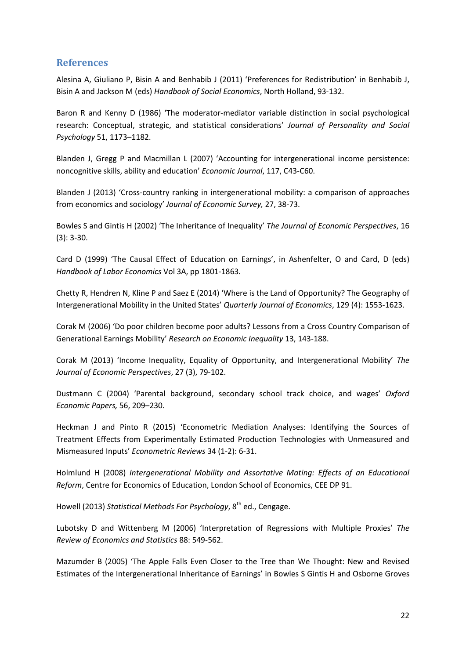# **References**

Alesina A, Giuliano P, Bisin A and Benhabib J (2011) 'Preferences for Redistribution' in Benhabib J, Bisin A and Jackson M (eds) *Handbook of Social Economics*, North Holland, 93-132.

Baron R and Kenny D (1986) 'The moderator-mediator variable distinction in social psychological research: Conceptual, strategic, and statistical considerations' *Journal of Personality and Social Psychology* 51, 1173–1182.

Blanden J, Gregg P and Macmillan L (2007) 'Accounting for intergenerational income persistence: noncognitive skills, ability and education' *Economic Journal*, 117, C43-C60.

Blanden J (2013) 'Cross-country ranking in intergenerational mobility: a comparison of approaches from economics and sociology' *Journal of Economic Survey,* 27, 38-73.

Bowles S and Gintis H (2002) 'The Inheritance of Inequality' *The Journal of Economic Perspectives*, 16 (3): 3-30.

Card D (1999) 'The Causal Effect of Education on Earnings', in Ashenfelter, O and Card, D (eds) *Handbook of Labor Economics* Vol 3A, pp 1801-1863.

Chetty R, Hendren N, Kline P and Saez E (2014) 'Where is the Land of Opportunity? The Geography of Intergenerational Mobility in the United States' *Quarterly Journal of Economics*, 129 (4): 1553-1623.

Corak M (2006) 'Do poor children become poor adults? Lessons from a Cross Country Comparison of Generational Earnings Mobility' *Research on Economic Inequality* 13, 143-188.

Corak M (2013) 'Income Inequality, Equality of Opportunity, and Intergenerational Mobility' *The Journal of Economic Perspectives*, 27 (3), 79-102.

Dustmann C (2004) 'Parental background, secondary school track choice, and wages' *Oxford Economic Papers,* 56, 209–230.

Heckman J and Pinto R (2015) 'Econometric Mediation Analyses: Identifying the Sources of Treatment Effects from Experimentally Estimated Production Technologies with Unmeasured and Mismeasured Inputs' *Econometric Reviews* 34 (1-2): 6-31.

Holmlund H (2008) *Intergenerational Mobility and Assortative Mating: Effects of an Educational Reform*, Centre for Economics of Education, London School of Economics, CEE DP 91.

Howell (2013) *Statistical Methods For Psychology*, 8<sup>th</sup> ed., Cengage.

Lubotsky D and Wittenberg M (2006) 'Interpretation of Regressions with Multiple Proxies' *The Review of Economics and Statistics* 88: 549-562.

Mazumder B (2005) 'The Apple Falls Even Closer to the Tree than We Thought: New and Revised Estimates of the Intergenerational Inheritance of Earnings' in Bowles S Gintis H and Osborne Groves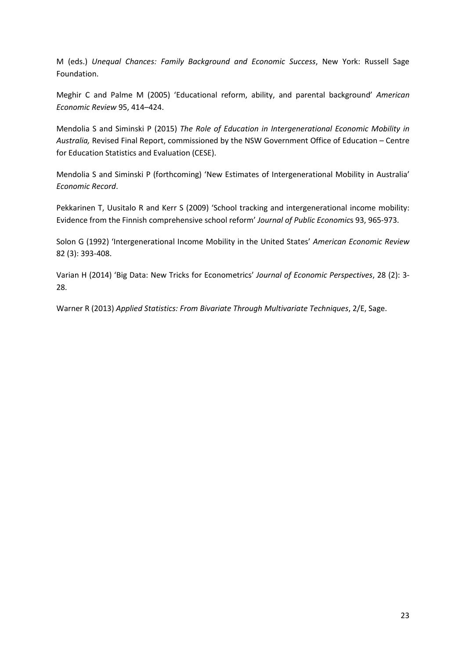M (eds.) *Unequal Chances: Family Background and Economic Success*, New York: Russell Sage Foundation.

Meghir C and Palme M (2005) 'Educational reform, ability, and parental background' *American Economic Review* 95, 414–424.

Mendolia S and Siminski P (2015) *The Role of Education in Intergenerational Economic Mobility in Australia,* Revised Final Report, commissioned by the NSW Government Office of Education – Centre for Education Statistics and Evaluation (CESE).

Mendolia S and Siminski P (forthcoming) 'New Estimates of Intergenerational Mobility in Australia' *Economic Record*.

Pekkarinen T, Uusitalo R and Kerr S (2009) 'School tracking and intergenerational income mobility: Evidence from the Finnish comprehensive school reform' *Journal of Public Economic*s 93, 965-973.

Solon G (1992) 'Intergenerational Income Mobility in the United States' *American Economic Review* 82 (3): 393-408.

Varian H (2014) 'Big Data: New Tricks for Econometrics' *Journal of Economic Perspectives*, 28 (2): 3- 28.

Warner R (2013) *Applied Statistics: From Bivariate Through Multivariate Techniques*, 2/E, Sage.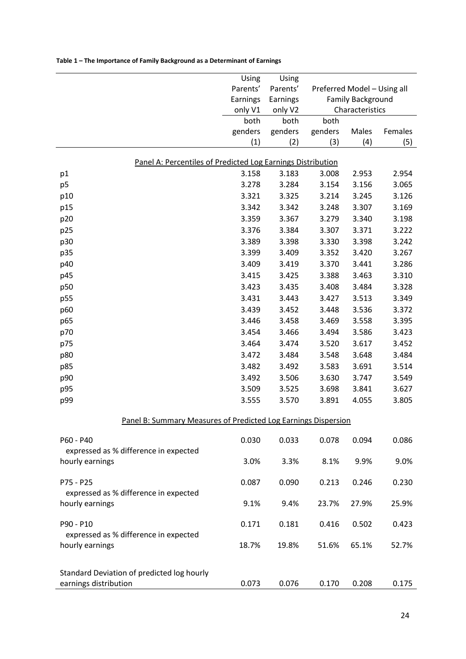<span id="page-25-0"></span>

|                                                                     | Using           | Using           |                                             |       |         |  |
|---------------------------------------------------------------------|-----------------|-----------------|---------------------------------------------|-------|---------|--|
|                                                                     | Parents'        | Parents'        | Preferred Model - Using all                 |       |         |  |
|                                                                     | Earnings        | Earnings        | <b>Family Background</b><br>Characteristics |       |         |  |
|                                                                     | only V1         | only V2         |                                             |       |         |  |
|                                                                     | both<br>genders | both<br>genders | both<br>genders                             | Males | Females |  |
|                                                                     | (1)             | (2)             | (3)                                         | (4)   | (5)     |  |
|                                                                     |                 |                 |                                             |       |         |  |
| Panel A: Percentiles of Predicted Log Earnings Distribution         |                 |                 |                                             |       |         |  |
| p1                                                                  | 3.158           | 3.183           | 3.008                                       | 2.953 | 2.954   |  |
| p <sub>5</sub>                                                      | 3.278           | 3.284           | 3.154                                       | 3.156 | 3.065   |  |
| p10                                                                 | 3.321           | 3.325           | 3.214                                       | 3.245 | 3.126   |  |
| p15                                                                 | 3.342           | 3.342           | 3.248                                       | 3.307 | 3.169   |  |
| p20                                                                 | 3.359           | 3.367           | 3.279                                       | 3.340 | 3.198   |  |
| p25                                                                 | 3.376           | 3.384           | 3.307                                       | 3.371 | 3.222   |  |
| p30                                                                 | 3.389           | 3.398           | 3.330                                       | 3.398 | 3.242   |  |
| p35                                                                 | 3.399           | 3.409           | 3.352                                       | 3.420 | 3.267   |  |
| p40                                                                 | 3.409           | 3.419           | 3.370                                       | 3.441 | 3.286   |  |
| p45                                                                 | 3.415           | 3.425           | 3.388                                       | 3.463 | 3.310   |  |
| p50                                                                 | 3.423           | 3.435           | 3.408                                       | 3.484 | 3.328   |  |
| p55                                                                 | 3.431           | 3.443           | 3.427                                       | 3.513 | 3.349   |  |
| p60                                                                 | 3.439           | 3.452           | 3.448                                       | 3.536 | 3.372   |  |
| p65                                                                 | 3.446           | 3.458           | 3.469                                       | 3.558 | 3.395   |  |
| p70                                                                 | 3.454           | 3.466           | 3.494                                       | 3.586 | 3.423   |  |
| p75                                                                 | 3.464           | 3.474           | 3.520                                       | 3.617 | 3.452   |  |
| p80                                                                 | 3.472           | 3.484           | 3.548                                       | 3.648 | 3.484   |  |
| p85                                                                 | 3.482           | 3.492           | 3.583                                       | 3.691 | 3.514   |  |
| p90                                                                 | 3.492           | 3.506           | 3.630                                       | 3.747 | 3.549   |  |
| p95                                                                 | 3.509           | 3.525           | 3.698                                       | 3.841 | 3.627   |  |
| p99                                                                 | 3.555           | 3.570           | 3.891                                       | 4.055 | 3.805   |  |
| Panel B: Summary Measures of Predicted Log Earnings Dispersion      |                 |                 |                                             |       |         |  |
| P60 - P40                                                           | 0.030           | 0.033           | 0.078                                       | 0.094 | 0.086   |  |
| expressed as % difference in expected                               |                 |                 |                                             |       |         |  |
| hourly earnings                                                     | 3.0%            | 3.3%            | 8.1%                                        | 9.9%  | 9.0%    |  |
| P75 - P25                                                           | 0.087           | 0.090           | 0.213                                       | 0.246 | 0.230   |  |
| expressed as % difference in expected                               |                 |                 |                                             |       |         |  |
| hourly earnings                                                     | 9.1%            | 9.4%            | 23.7%                                       | 27.9% | 25.9%   |  |
| P90 - P10                                                           | 0.171           | 0.181           | 0.416                                       | 0.502 | 0.423   |  |
| expressed as % difference in expected<br>hourly earnings            | 18.7%           | 19.8%           | 51.6%                                       | 65.1% | 52.7%   |  |
|                                                                     |                 |                 |                                             |       |         |  |
| Standard Deviation of predicted log hourly<br>earnings distribution | 0.073           | 0.076           | 0.170                                       | 0.208 | 0.175   |  |
|                                                                     |                 |                 |                                             |       |         |  |

#### <span id="page-25-1"></span>**Table 1 – The Importance of Family Background as a Determinant of Earnings**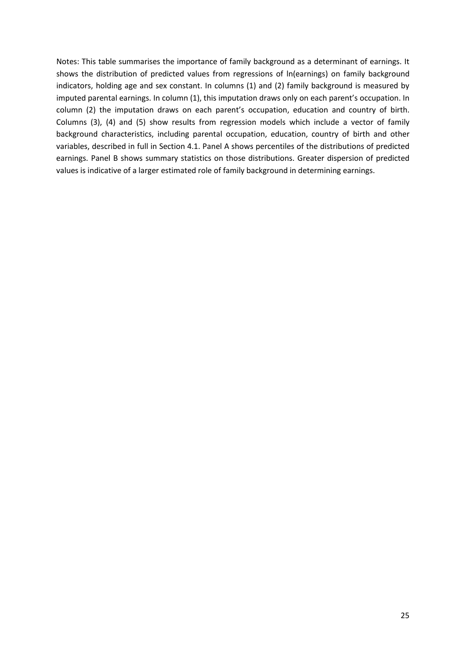Notes: This table summarises the importance of family background as a determinant of earnings. It shows the distribution of predicted values from regressions of ln(earnings) on family background indicators, holding age and sex constant. In columns (1) and (2) family background is measured by imputed parental earnings. In column (1), this imputation draws only on each parent's occupation. In column (2) the imputation draws on each parent's occupation, education and country of birth. Columns (3), (4) and (5) show results from regression models which include a vector of family background characteristics, including parental occupation, education, country of birth and other variables, described in full in Section [4.1.](#page-10-2) Panel A shows percentiles of the distributions of predicted earnings. Panel B shows summary statistics on those distributions. Greater dispersion of predicted values is indicative of a larger estimated role of family background in determining earnings.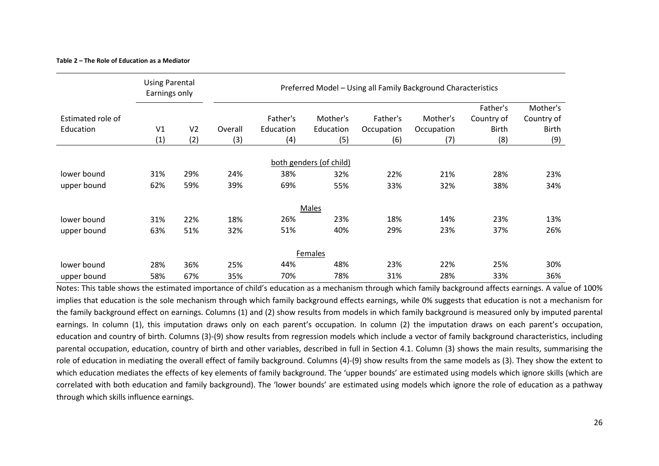#### **Table 2 – The Role of Education as a Mediator**

|                   | <b>Using Parental</b><br>Earnings only |                | Preferred Model - Using all Family Background Characteristics |           |                         |            |            |            |              |
|-------------------|----------------------------------------|----------------|---------------------------------------------------------------|-----------|-------------------------|------------|------------|------------|--------------|
|                   |                                        |                |                                                               |           |                         |            |            | Father's   | Mother's     |
| Estimated role of |                                        |                |                                                               | Father's  | Mother's                | Father's   | Mother's   | Country of | Country of   |
| Education         | V <sub>1</sub>                         | V <sub>2</sub> | Overall                                                       | Education | Education               | Occupation | Occupation | Birth      | <b>Birth</b> |
|                   | (1)                                    | (2)            | (3)                                                           | (4)       | (5)                     | (6)        | (7)        | (8)        | (9)          |
|                   |                                        |                |                                                               |           | both genders (of child) |            |            |            |              |
| lower bound       | 31%                                    | 29%            | 24%                                                           | 38%       | 32%                     | 22%        | 21%        | 28%        | 23%          |
| upper bound       | 62%                                    | 59%            | 39%                                                           | 69%       | 55%                     | 33%        | 32%        | 38%        | 34%          |
|                   |                                        |                |                                                               |           | Males                   |            |            |            |              |
| lower bound       | 31%                                    | 22%            | 18%                                                           | 26%       | 23%                     | 18%        | 14%        | 23%        | 13%          |
| upper bound       | 63%                                    | 51%            | 32%                                                           | 51%       | 40%                     | 29%        | 23%        | 37%        | 26%          |
|                   |                                        |                |                                                               |           | <b>Females</b>          |            |            |            |              |
| lower bound       | 28%                                    | 36%            | 25%                                                           | 44%       | 48%                     | 23%        | 22%        | 25%        | 30%          |
| upper bound       | 58%                                    | 67%            | 35%                                                           | 70%       | 78%                     | 31%        | 28%        | 33%        | 36%          |

<span id="page-27-0"></span>Notes: This table shows the estimated importance of child's education as a mechanism through which family background affects earnings. A value of 100% implies that education is the sole mechanism through which family background effects earnings, while 0% suggests that education is not a mechanism for the family background effect on earnings. Columns (1) and (2) show results from models in which family background is measured only by imputed parental earnings. In column (1), this imputation draws only on each parent's occupation. In column (2) the imputation draws on each parent's occupation, education and country of birth. Columns (3)-(9) show results from regression models which include a vector of family background characteristics, including parental occupation, education, country of birth and other variables, described in full in Section [4.1.](#page-10-3) Column (3) shows the main results, summarising the role of education in mediating the overall effect of family background. Columns (4)-(9) show results from the same models as (3). They show the extent to which education mediates the effects of key elements of family background. The 'upper bounds' are estimated using models which ignore skills (which are correlated with both education and family background). The 'lower bounds' are estimated using models which ignore the role of education as a pathway through which skills influence earnings.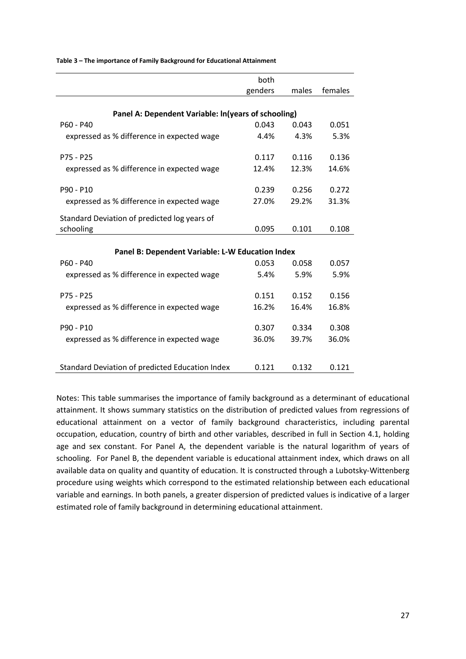|                                                     | both    |       |         |  |  |  |
|-----------------------------------------------------|---------|-------|---------|--|--|--|
|                                                     | genders | males | females |  |  |  |
|                                                     |         |       |         |  |  |  |
| Panel A: Dependent Variable: In(years of schooling) |         |       |         |  |  |  |
| $P60 - P40$                                         | 0.043   | 0.043 | 0.051   |  |  |  |
| expressed as % difference in expected wage          | 4.4%    | 4.3%  | 5.3%    |  |  |  |
|                                                     |         |       |         |  |  |  |
| $P75 - P25$                                         | 0.117   | 0.116 | 0.136   |  |  |  |
| expressed as % difference in expected wage          | 12.4%   | 12.3% | 14.6%   |  |  |  |
|                                                     |         |       |         |  |  |  |
| P90 - P10                                           | 0.239   | 0.256 | 0.272   |  |  |  |
| expressed as % difference in expected wage          | 27.0%   | 29.2% | 31.3%   |  |  |  |
|                                                     |         |       |         |  |  |  |
| Standard Deviation of predicted log years of        |         |       |         |  |  |  |
| schooling                                           | 0.095   | 0.101 | 0.108   |  |  |  |
|                                                     |         |       |         |  |  |  |
| Panel B: Dependent Variable: L-W Education Index    |         |       |         |  |  |  |
| P60 - P40                                           | 0.053   | 0.058 | 0.057   |  |  |  |
| expressed as % difference in expected wage          | 5.4%    | 5.9%  | 5.9%    |  |  |  |
|                                                     |         |       |         |  |  |  |
| $P75 - P25$                                         | 0.151   | 0.152 | 0.156   |  |  |  |
| expressed as % difference in expected wage          | 16.2%   | 16.4% | 16.8%   |  |  |  |
|                                                     |         |       |         |  |  |  |
| P90 - P10                                           | 0.307   | 0.334 | 0.308   |  |  |  |
| expressed as % difference in expected wage          | 36.0%   | 39.7% | 36.0%   |  |  |  |
|                                                     |         |       |         |  |  |  |
|                                                     | 0.121   | 0.132 | 0.121   |  |  |  |
| Standard Deviation of predicted Education Index     |         |       |         |  |  |  |

<span id="page-28-0"></span>**Table 3 – The importance of Family Background for Educational Attainment**

Notes: This table summarises the importance of family background as a determinant of educational attainment. It shows summary statistics on the distribution of predicted values from regressions of educational attainment on a vector of family background characteristics, including parental occupation, education, country of birth and other variables, described in full in Section [4.1,](#page-10-2) holding age and sex constant. For Panel A, the dependent variable is the natural logarithm of years of schooling. For Panel B, the dependent variable is educational attainment index, which draws on all available data on quality and quantity of education. It is constructed through a Lubotsky-Wittenberg procedure using weights which correspond to the estimated relationship between each educational variable and earnings. In both panels, a greater dispersion of predicted values is indicative of a larger estimated role of family background in determining educational attainment.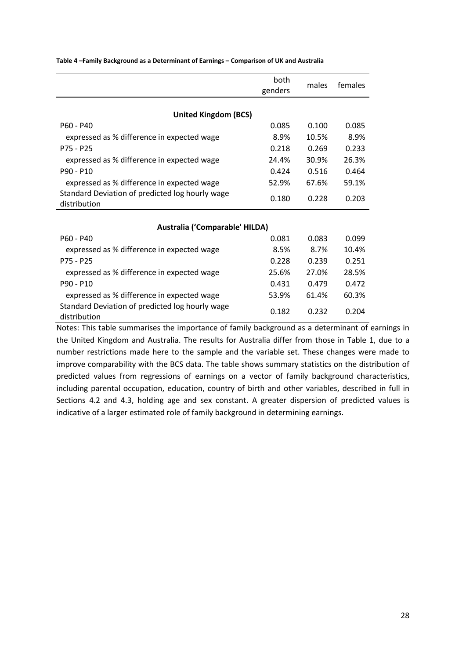|                                                                 | both    |       |       |  |  |  |  |
|-----------------------------------------------------------------|---------|-------|-------|--|--|--|--|
|                                                                 | genders |       |       |  |  |  |  |
| <b>United Kingdom (BCS)</b>                                     |         |       |       |  |  |  |  |
| $P60 - P40$                                                     | 0.085   | 0.100 | 0.085 |  |  |  |  |
| expressed as % difference in expected wage                      | 8.9%    | 10.5% | 8.9%  |  |  |  |  |
| P75 - P25                                                       | 0.218   | 0.269 | 0.233 |  |  |  |  |
| expressed as % difference in expected wage                      | 24.4%   | 30.9% | 26.3% |  |  |  |  |
| P90 - P10                                                       | 0.424   | 0.516 | 0.464 |  |  |  |  |
| expressed as % difference in expected wage                      | 52.9%   | 67.6% | 59.1% |  |  |  |  |
| Standard Deviation of predicted log hourly wage<br>distribution | 0.180   | 0.228 | 0.203 |  |  |  |  |
|                                                                 |         |       |       |  |  |  |  |
| Australia ('Comparable' HILDA)                                  |         |       |       |  |  |  |  |
| $P60 - P40$                                                     | 0.081   | 0.083 | 0.099 |  |  |  |  |
| expressed as % difference in expected wage                      | 8.5%    | 8.7%  | 10.4% |  |  |  |  |
| P75 - P25                                                       | 0.228   | 0.239 | 0.251 |  |  |  |  |
| expressed as % difference in expected wage                      | 25.6%   | 27.0% | 28.5% |  |  |  |  |
| P90 - P10                                                       | 0.431   | 0.479 | 0.472 |  |  |  |  |
| expressed as % difference in expected wage                      | 53.9%   | 61.4% | 60.3% |  |  |  |  |
| Standard Deviation of predicted log hourly wage<br>distribution | 0.182   | 0.232 | 0.204 |  |  |  |  |

<span id="page-29-0"></span>**Table 4 –Family Background as a Determinant of Earnings – Comparison of UK and Australia**

Notes: This table summarises the importance of family background as a determinant of earnings in the United Kingdom and Australia. The results for Australia differ from those in Table 1, due to a number restrictions made here to the sample and the variable set. These changes were made to improve comparability with the BCS data. The table shows summary statistics on the distribution of predicted values from regressions of earnings on a vector of family background characteristics, including parental occupation, education, country of birth and other variables, described in full in Sections [4.2](#page-12-1) and [4.3,](#page-14-0) holding age and sex constant. A greater dispersion of predicted values is indicative of a larger estimated role of family background in determining earnings.